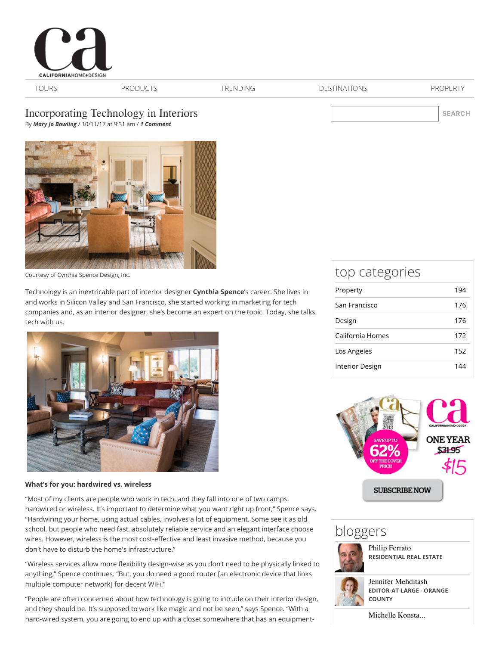

[TOURS](http://www.californiahomedesign.com/house-tours) [PRODUCTS](http://www.californiahomedesign.com/product-finds) [TRENDING](http://www.californiahomedesign.com/trending) [DESTINATIONS](http://www.californiahomedesign.com/destinations) [PROPERTY](http://www.californiahomedesign.com/property)

SEARCH

# Incorporating Technology in Interiors

By *[Mary Jo Bowling](http://www.californiahomedesign.com/users/mary-jo-bowling)* / 10/11/17 at 9:31 am / *1 Comment*



[Courtesy of Cynthia Spence Design, Inc.](http://www.cynthiaspencedesign.com/)

Technology is an inextricable part of interior designer **[Cynthia Spence](http://www.cynthiaspencedesign.com/)**'s career. She lives in and works in Silicon Valley and San Francisco, she started working in marketing for tech companies and, as an interior designer, she's become an expert on the topic. Today, she talks tech with us.



### **What's for you: hardwired vs. wireless**

"Most of my clients are people who work in tech, and they fall into one of two camps: hardwired or wireless. It's important to determine what you want right up front," Spence says. "Hardwiring your home, using actual cables, involves a lot of equipment. Some see it as old school, but people who need fast, absolutely reliable service and an elegant interface choose wires. However, wireless is the most cost-effective and least invasive method, because you don't have to disturb the home's infrastructure."

"Wireless services allow more flexibility design-wise as you don't need to be physically linked to anything," Spence continues. "But, you do need a good router [an electronic device that links multiple computer network] for decent WiFi."

"People are often concerned about how technology is going to intrude on their interior design, and they should be. It's supposed to work like magic and not be seen," says Spence. "With a hard-wired system, you are going to end up with a closet somewhere that has an equipment-

## top categories

| Property         | 194 |
|------------------|-----|
| San Francisco    | 176 |
| Design           | 176 |
| California Homes | 172 |
| Los Angeles      | 152 |
| Interior Design  | 144 |



# bloggers



[Philip Ferrato](http://www.californiahomedesign.com/users/philip-ferrato) **RESIDENTIAL REAL ESTATE**



[Jennifer Mehditash](http://www.californiahomedesign.com/users/jennifer-mehditash) **EDITOR-AT-LARGE - ORANGE COUNTY**

[Michelle Konsta...](http://www.californiahomedesign.com/users/michelle-konstantinovsky)